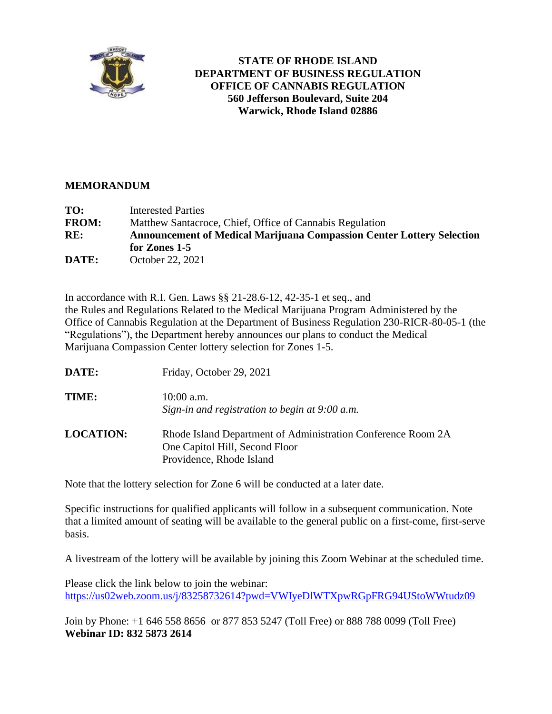

## **STATE OF RHODE ISLAND DEPARTMENT OF BUSINESS REGULATION OFFICE OF CANNABIS REGULATION 560 Jefferson Boulevard, Suite 204 Warwick, Rhode Island 02886**

## **MEMORANDUM**

| TO:          | <b>Interested Parties</b>                                                    |  |
|--------------|------------------------------------------------------------------------------|--|
| <b>FROM:</b> | Matthew Santacroce, Chief, Office of Cannabis Regulation                     |  |
| RE:          | <b>Announcement of Medical Marijuana Compassion Center Lottery Selection</b> |  |
|              | for Zones 1-5                                                                |  |
| DATE:        | October 22, 2021                                                             |  |

In accordance with R.I. Gen. Laws §§ 21-28.6-12, 42-35-1 et seq., and the Rules and Regulations Related to the Medical Marijuana Program Administered by the Office of Cannabis Regulation at the Department of Business Regulation 230-RICR-80-05-1 (the "Regulations"), the Department hereby announces our plans to conduct the Medical Marijuana Compassion Center lottery selection for Zones 1-5.

| DATE:            | Friday, October 29, 2021                                                                                                   |
|------------------|----------------------------------------------------------------------------------------------------------------------------|
| TIME:            | $10:00$ a.m.<br>Sign-in and registration to begin at 9:00 a.m.                                                             |
| <b>LOCATION:</b> | Rhode Island Department of Administration Conference Room 2A<br>One Capitol Hill, Second Floor<br>Providence, Rhode Island |

Note that the lottery selection for Zone 6 will be conducted at a later date.

Specific instructions for qualified applicants will follow in a subsequent communication. Note that a limited amount of seating will be available to the general public on a first-come, first-serve basis.

A livestream of the lottery will be available by joining this Zoom Webinar at the scheduled time.

Please click the link below to join the webinar: <https://us02web.zoom.us/j/83258732614?pwd=VWIyeDlWTXpwRGpFRG94UStoWWtudz09>

Join by Phone: +1 646 558 8656 or 877 853 5247 (Toll Free) or 888 788 0099 (Toll Free) **Webinar ID: 832 5873 2614**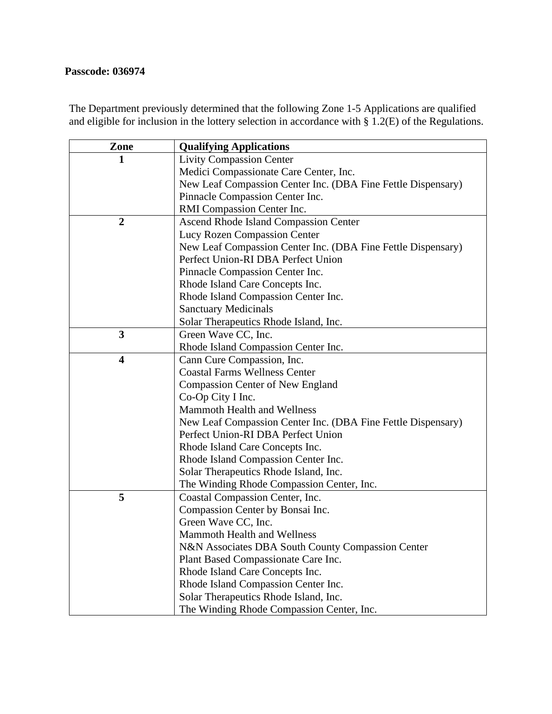## **Passcode: 036974**

The Department previously determined that the following Zone 1-5 Applications are qualified and eligible for inclusion in the lottery selection in accordance with § 1.2(E) of the Regulations.

| Zone                    | <b>Qualifying Applications</b>                               |
|-------------------------|--------------------------------------------------------------|
| 1                       | <b>Livity Compassion Center</b>                              |
|                         | Medici Compassionate Care Center, Inc.                       |
|                         | New Leaf Compassion Center Inc. (DBA Fine Fettle Dispensary) |
|                         | Pinnacle Compassion Center Inc.                              |
|                         | RMI Compassion Center Inc.                                   |
| $\boldsymbol{2}$        | Ascend Rhode Island Compassion Center                        |
|                         | Lucy Rozen Compassion Center                                 |
|                         | New Leaf Compassion Center Inc. (DBA Fine Fettle Dispensary) |
|                         | Perfect Union-RI DBA Perfect Union                           |
|                         | Pinnacle Compassion Center Inc.                              |
|                         | Rhode Island Care Concepts Inc.                              |
|                         | Rhode Island Compassion Center Inc.                          |
|                         | <b>Sanctuary Medicinals</b>                                  |
|                         | Solar Therapeutics Rhode Island, Inc.                        |
| 3                       | Green Wave CC, Inc.                                          |
|                         | Rhode Island Compassion Center Inc.                          |
| $\overline{\mathbf{4}}$ | Cann Cure Compassion, Inc.                                   |
|                         | <b>Coastal Farms Wellness Center</b>                         |
|                         | <b>Compassion Center of New England</b>                      |
|                         | Co-Op City I Inc.                                            |
|                         | Mammoth Health and Wellness                                  |
|                         | New Leaf Compassion Center Inc. (DBA Fine Fettle Dispensary) |
|                         | Perfect Union-RI DBA Perfect Union                           |
|                         | Rhode Island Care Concepts Inc.                              |
|                         | Rhode Island Compassion Center Inc.                          |
|                         | Solar Therapeutics Rhode Island, Inc.                        |
|                         | The Winding Rhode Compassion Center, Inc.                    |
| 5                       | Coastal Compassion Center, Inc.                              |
|                         | Compassion Center by Bonsai Inc.                             |
|                         | Green Wave CC, Inc.                                          |
|                         | <b>Mammoth Health and Wellness</b>                           |
|                         | N&N Associates DBA South County Compassion Center            |
|                         | Plant Based Compassionate Care Inc.                          |
|                         | Rhode Island Care Concepts Inc.                              |
|                         | Rhode Island Compassion Center Inc.                          |
|                         | Solar Therapeutics Rhode Island, Inc.                        |
|                         | The Winding Rhode Compassion Center, Inc.                    |